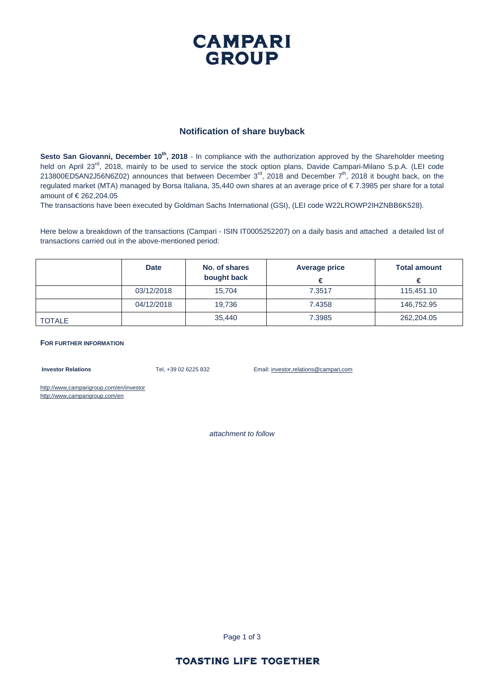

### **Notification of share buyback**

**Sesto San Giovanni, December 10<sup>th</sup>, 2018** - In compliance with the authorization approved by the Shareholder meeting held on April 23<sup>rd</sup>, 2018, mainly to be used to service the stock option plans, Davide Campari-Milano S.p.A. (LEI code 213800ED5AN2J56N6Z02) announces that between December 3<sup>rd</sup>, 2018 and December 7<sup>th</sup>, 2018 it bought back, on the regulated market (MTA) managed by Borsa Italiana, 35,440 own shares at an average price of € 7.3985 per share for a total amount of € 262,204.05

The transactions have been executed by Goldman Sachs International (GSI), (LEI code W22LROWP2IHZNBB6K528).

Here below a breakdown of the transactions (Campari - ISIN IT0005252207) on a daily basis and attached a detailed list of transactions carried out in the above-mentioned period:

|               | <b>Date</b> | No. of shares<br>bought back | Average price<br>€ | <b>Total amount</b> |
|---------------|-------------|------------------------------|--------------------|---------------------|
|               | 03/12/2018  | 15.704                       | 7.3517             | 115,451.10          |
|               | 04/12/2018  | 19.736                       | 7.4358             | 146,752.95          |
| <b>TOTALE</b> |             | 35.440                       | 7.3985             | 262,204.05          |

#### **FOR FURTHER INFORMATION**

**Investor Relations** Tel, +39 02 6225 832 Email: investor,relations@campari,com

http://www,camparigroup,com/en/investor http://www,camparigroup,com/en

*attachment to follow* 

Page 1 of 3

### **TOASTING LIFE TOGETHER**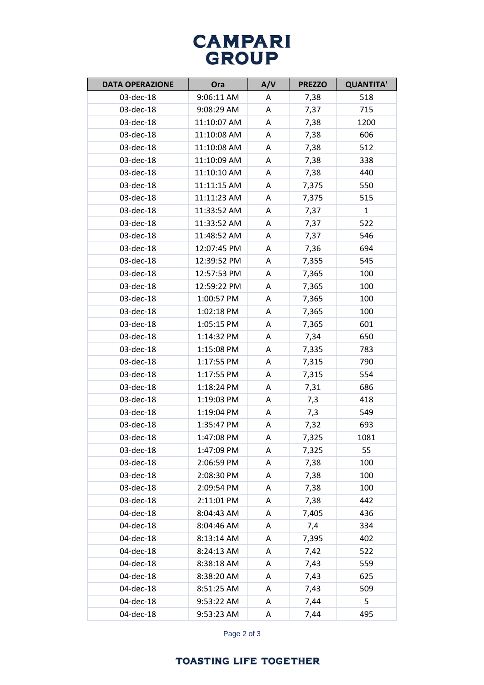# **CAMPARI GROUP**

| <b>DATA OPERAZIONE</b> | Ora         | A/V | <b>PREZZO</b> | <b>QUANTITA'</b> |
|------------------------|-------------|-----|---------------|------------------|
| 03-dec-18              | 9:06:11 AM  | A   | 7,38          | 518              |
| 03-dec-18              | 9:08:29 AM  | A   | 7,37          | 715              |
| 03-dec-18              | 11:10:07 AM | A   | 7,38          | 1200             |
| 03-dec-18              | 11:10:08 AM | A   | 7,38          | 606              |
| 03-dec-18              | 11:10:08 AM | Α   | 7,38          | 512              |
| 03-dec-18              | 11:10:09 AM | Α   | 7,38          | 338              |
| 03-dec-18              | 11:10:10 AM | A   | 7,38          | 440              |
| 03-dec-18              | 11:11:15 AM | Α   | 7,375         | 550              |
| 03-dec-18              | 11:11:23 AM | A   | 7,375         | 515              |
| 03-dec-18              | 11:33:52 AM | A   | 7,37          | $\mathbf{1}$     |
| 03-dec-18              | 11:33:52 AM | Α   | 7,37          | 522              |
| 03-dec-18              | 11:48:52 AM | A   | 7,37          | 546              |
| 03-dec-18              | 12:07:45 PM | Α   | 7,36          | 694              |
| 03-dec-18              | 12:39:52 PM | A   | 7,355         | 545              |
| 03-dec-18              | 12:57:53 PM | Α   | 7,365         | 100              |
| 03-dec-18              | 12:59:22 PM | A   | 7,365         | 100              |
| 03-dec-18              | 1:00:57 PM  | A   | 7,365         | 100              |
| 03-dec-18              | 1:02:18 PM  | Α   | 7,365         | 100              |
| 03-dec-18              | 1:05:15 PM  | A   | 7,365         | 601              |
| 03-dec-18              | 1:14:32 PM  | Α   | 7,34          | 650              |
| 03-dec-18              | 1:15:08 PM  | A   | 7,335         | 783              |
| 03-dec-18              | 1:17:55 PM  | A   | 7,315         | 790              |
| 03-dec-18              | 1:17:55 PM  | Α   | 7,315         | 554              |
| 03-dec-18              | 1:18:24 PM  | A   | 7,31          | 686              |
| 03-dec-18              | 1:19:03 PM  | Α   | 7,3           | 418              |
| 03-dec-18              | 1:19:04 PM  | A   | 7,3           | 549              |
| 03-dec-18              | 1:35:47 PM  | A   | 7,32          | 693              |
| 03-dec-18              | 1:47:08 PM  | Α   | 7,325         | 1081             |
| 03-dec-18              | 1:47:09 PM  | A   | 7,325         | 55               |
| 03-dec-18              | 2:06:59 PM  | Α   | 7,38          | 100              |
| 03-dec-18              | 2:08:30 PM  | Α   | 7,38          | 100              |
| 03-dec-18              | 2:09:54 PM  | Α   | 7,38          | 100              |
| 03-dec-18              | 2:11:01 PM  | A   | 7,38          | 442              |
| 04-dec-18              | 8:04:43 AM  | Α   | 7,405         | 436              |
| 04-dec-18              | 8:04:46 AM  | Α   | 7,4           | 334              |
| 04-dec-18              | 8:13:14 AM  | Α   | 7,395         | 402              |
| 04-dec-18              | 8:24:13 AM  | Α   | 7,42          | 522              |
| 04-dec-18              | 8:38:18 AM  | A   | 7,43          | 559              |
| 04-dec-18              | 8:38:20 AM  | Α   | 7,43          | 625              |
| 04-dec-18              | 8:51:25 AM  | Α   | 7,43          | 509              |
| 04-dec-18              | 9:53:22 AM  | Α   | 7,44          | 5                |
| 04-dec-18              | 9:53:23 AM  | Α   | 7,44          | 495              |

Page 2 of 3

### **TOASTING LIFE TOGETHER**